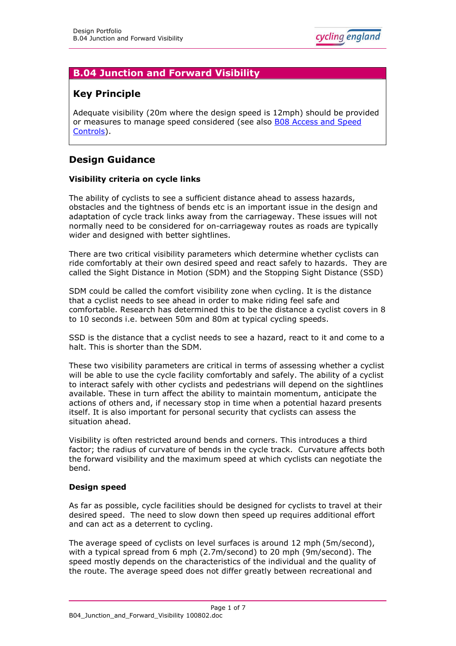# **B.04 Junction and Forward Visibility**

# **Key Principle**

Adequate visibility (20m where the design speed is 12mph) should be provided or measures to manage speed considered (see also [B08 Access and Speed](http://www.cyclingengland.co.uk/docs/B08_Access_and_Speed_Controls.pdf) [Controls\)](http://www.cyclingengland.co.uk/docs/B08_Access_and_Speed_Controls.pdf).

# **Design Guidance**

# **Visibility criteria on cycle links**

The ability of cyclists to see a sufficient distance ahead to assess hazards, obstacles and the tightness of bends etc is an important issue in the design and adaptation of cycle track links away from the carriageway. These issues will not normally need to be considered for on-carriageway routes as roads are typically wider and designed with better sightlines.

There are two critical visibility parameters which determine whether cyclists can ride comfortably at their own desired speed and react safely to hazards. They are called the Sight Distance in Motion (SDM) and the Stopping Sight Distance (SSD)

SDM could be called the comfort visibility zone when cycling. It is the distance that a cyclist needs to see ahead in order to make riding feel safe and comfortable. Research has determined this to be the distance a cyclist covers in 8 to 10 seconds i.e. between 50m and 80m at typical cycling speeds.

SSD is the distance that a cyclist needs to see a hazard, react to it and come to a halt. This is shorter than the SDM.

These two visibility parameters are critical in terms of assessing whether a cyclist will be able to use the cycle facility comfortably and safely. The ability of a cyclist to interact safely with other cyclists and pedestrians will depend on the sightlines available. These in turn affect the ability to maintain momentum, anticipate the actions of others and, if necessary stop in time when a potential hazard presents itself. It is also important for personal security that cyclists can assess the situation ahead.

Visibility is often restricted around bends and corners. This introduces a third factor; the radius of curvature of bends in the cycle track. Curvature affects both the forward visibility and the maximum speed at which cyclists can negotiate the bend.

#### **Design speed**

As far as possible, cycle facilities should be designed for cyclists to travel at their desired speed. The need to slow down then speed up requires additional effort and can act as a deterrent to cycling.

The average speed of cyclists on level surfaces is around 12 mph (5m/second), with a typical spread from 6 mph (2.7m/second) to 20 mph (9m/second). The speed mostly depends on the characteristics of the individual and the quality of the route. The average speed does not differ greatly between recreational and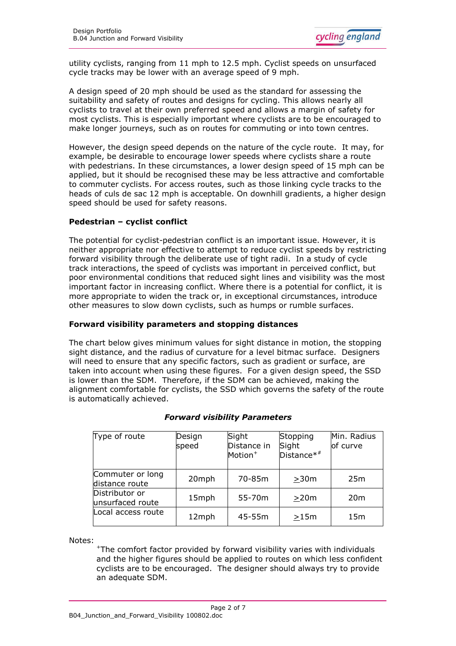utility cyclists, ranging from 11 mph to 12.5 mph. Cyclist speeds on unsurfaced cycle tracks may be lower with an average speed of 9 mph.

A design speed of 20 mph should be used as the standard for assessing the suitability and safety of routes and designs for cycling. This allows nearly all cyclists to travel at their own preferred speed and allows a margin of safety for most cyclists. This is especially important where cyclists are to be encouraged to make longer journeys, such as on routes for commuting or into town centres.

However, the design speed depends on the nature of the cycle route. It may, for example, be desirable to encourage lower speeds where cyclists share a route with pedestrians. In these circumstances, a lower design speed of 15 mph can be applied, but it should be recognised these may be less attractive and comfortable to commuter cyclists. For access routes, such as those linking cycle tracks to the heads of culs de sac 12 mph is acceptable. On downhill gradients, a higher design speed should be used for safety reasons.

# **Pedestrian – cyclist conflict**

The potential for cyclist-pedestrian conflict is an important issue. However, it is neither appropriate nor effective to attempt to reduce cyclist speeds by restricting forward visibility through the deliberate use of tight radii. In a study of cycle track interactions, the speed of cyclists was important in perceived conflict, but poor environmental conditions that reduced sight lines and visibility was the most important factor in increasing conflict. Where there is a potential for conflict, it is more appropriate to widen the track or, in exceptional circumstances, introduce other measures to slow down cyclists, such as humps or rumble surfaces.

# **Forward visibility parameters and stopping distances**

The chart below gives minimum values for sight distance in motion, the stopping sight distance, and the radius of curvature for a level bitmac surface. Designers will need to ensure that any specific factors, such as gradient or surface, are taken into account when using these figures. For a given design speed, the SSD is lower than the SDM. Therefore, if the SDM can be achieved, making the alignment comfortable for cyclists, the SSD which governs the safety of the route is automatically achieved.

| Type of route                      | Design<br>speed | Sight<br>Distance in<br>Motion <sup>+</sup> | Stopping<br>Sight<br>$Distance**$ | Min. Radius<br>of curve |  |
|------------------------------------|-----------------|---------------------------------------------|-----------------------------------|-------------------------|--|
| Commuter or long<br>distance route | 20mph           | 70-85m                                      | >30m                              | 25m                     |  |
| Distributor or<br>unsurfaced route | 15mph           | 55-70m                                      | >20m                              | 20 <sub>m</sub>         |  |
| Local access route                 | 12mph           | 45-55m                                      | >15m                              | 15 <sub>m</sub>         |  |

# *Forward visibility Parameters*

Notes:

<sup>+</sup>The comfort factor provided by forward visibility varies with individuals and the higher figures should be applied to routes on which less confident cyclists are to be encouraged. The designer should always try to provide an adequate SDM.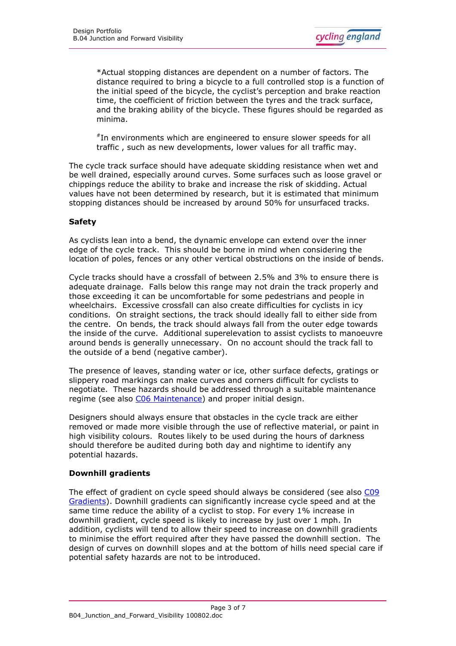\*Actual stopping distances are dependent on a number of factors. The distance required to bring a bicycle to a full controlled stop is a function of the initial speed of the bicycle, the cyclist's perception and brake reaction time, the coefficient of friction between the tyres and the track surface, and the braking ability of the bicycle. These figures should be regarded as minima.

# In environments which are engineered to ensure slower speeds for all traffic , such as new developments, lower values for all traffic may.

The cycle track surface should have adequate skidding resistance when wet and be well drained, especially around curves. Some surfaces such as loose gravel or chippings reduce the ability to brake and increase the risk of skidding. Actual values have not been determined by research, but it is estimated that minimum stopping distances should be increased by around 50% for unsurfaced tracks.

# **Safety**

As cyclists lean into a bend, the dynamic envelope can extend over the inner edge of the cycle track. This should be borne in mind when considering the location of poles, fences or any other vertical obstructions on the inside of bends.

Cycle tracks should have a crossfall of between 2.5% and 3% to ensure there is adequate drainage. Falls below this range may not drain the track properly and those exceeding it can be uncomfortable for some pedestrians and people in wheelchairs. Excessive crossfall can also create difficulties for cyclists in icy conditions. On straight sections, the track should ideally fall to either side from the centre. On bends, the track should always fall from the outer edge towards the inside of the curve. Additional superelevation to assist cyclists to manoeuvre around bends is generally unnecessary. On no account should the track fall to the outside of a bend (negative camber).

The presence of leaves, standing water or ice, other surface defects, gratings or slippery road markings can make curves and corners difficult for cyclists to negotiate. These hazards should be addressed through a suitable maintenance regime (see also [C06 Maintenance\)](http://www.cyclingengland.co.uk/docs/C06_Maintenance.pdf) and proper initial design.

Designers should always ensure that obstacles in the cycle track are either removed or made more visible through the use of reflective material, or paint in high visibility colours. Routes likely to be used during the hours of darkness should therefore be audited during both day and nightime to identify any potential hazards.

#### **Downhill gradients**

The effect of gradient on cycle speed should always be considered (see also [C09](http://www.cyclingengland.co.uk/docs/C09_Gradients.pdf) [Gradients\)](http://www.cyclingengland.co.uk/docs/C09_Gradients.pdf). Downhill gradients can significantly increase cycle speed and at the same time reduce the ability of a cyclist to stop. For every 1% increase in downhill gradient, cycle speed is likely to increase by just over 1 mph. In addition, cyclists will tend to allow their speed to increase on downhill gradients to minimise the effort required after they have passed the downhill section. The design of curves on downhill slopes and at the bottom of hills need special care if potential safety hazards are not to be introduced.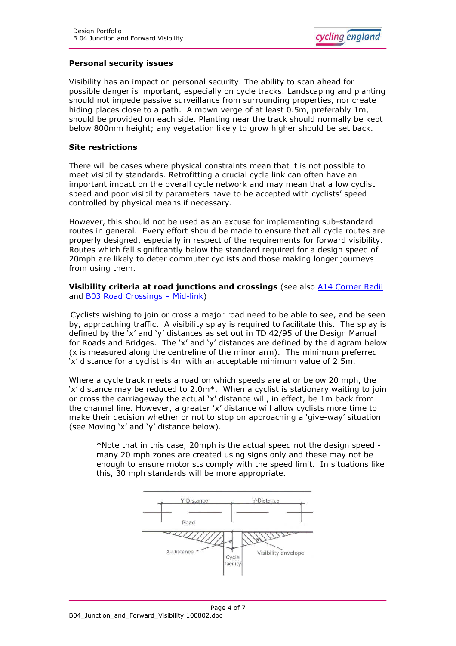

#### **Personal security issues**

Visibility has an impact on personal security. The ability to scan ahead for possible danger is important, especially on cycle tracks. Landscaping and planting should not impede passive surveillance from surrounding properties, nor create hiding places close to a path. A mown verge of at least 0.5m, preferably 1m, should be provided on each side. Planting near the track should normally be kept below 800mm height; any vegetation likely to grow higher should be set back.

#### **Site restrictions**

There will be cases where physical constraints mean that it is not possible to meet visibility standards. Retrofitting a crucial cycle link can often have an important impact on the overall cycle network and may mean that a low cyclist speed and poor visibility parameters have to be accepted with cyclists' speed controlled by physical means if necessary.

However, this should not be used as an excuse for implementing sub-standard routes in general. Every effort should be made to ensure that all cycle routes are properly designed, especially in respect of the requirements for forward visibility. Routes which fall significantly below the standard required for a design speed of 20mph are likely to deter commuter cyclists and those making longer journeys from using them.

#### **Visibility criteria at road junctions and crossings** (see also **[A14 Corner Radii](http://www.cyclingengland.co.uk/docs/A14_Corner_Radii.pdf)** and [B03 Road Crossings](http://www.cyclingengland.co.uk/docs/B03_Road_Crossings_Mid_Link.pdf) – Mid-link)

Cyclists wishing to join or cross a major road need to be able to see, and be seen by, approaching traffic. A visibility splay is required to facilitate this. The splay is defined by the 'x' and 'y' distances as set out in TD 42/95 of the Design Manual for Roads and Bridges. The 'x' and 'y' distances are defined by the diagram below (x is measured along the centreline of the minor arm). The minimum preferred 'x' distance for a cyclist is 4m with an acceptable minimum value of 2.5m.

Where a cycle track meets a road on which speeds are at or below 20 mph, the 'x' distance may be reduced to 2.0m\*. When a cyclist is stationary waiting to join or cross the carriageway the actual 'x' distance will, in effect, be 1m back from the channel line. However, a greater 'x' distance will allow cyclists more time to make their decision whether or not to stop on approaching a 'give-way' situation (see Moving 'x' and 'y' distance below).

\*Note that in this case, 20mph is the actual speed not the design speed many 20 mph zones are created using signs only and these may not be enough to ensure motorists comply with the speed limit. In situations like this, 30 mph standards will be more appropriate.

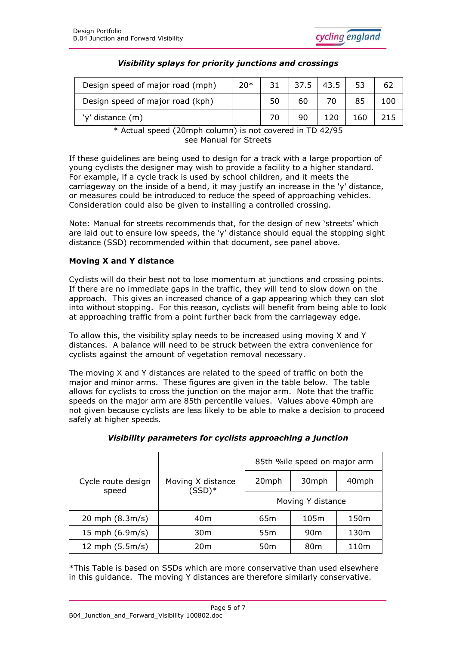

| Design speed of major road (mph) | $20*$ | 31 | 37.5 | 43.5 | 53   | 62  |
|----------------------------------|-------|----|------|------|------|-----|
| Design speed of major road (kph) |       | 50 | 60   |      |      | 100 |
| 'y' distance (m)                 |       |    | 90   | 120  | l 60 | 215 |

# *Visibility splays for priority junctions and crossings*

\* Actual speed (20mph column) is not covered in TD 42/95 see Manual for Streets

If these guidelines are being used to design for a track with a large proportion of young cyclists the designer may wish to provide a facility to a higher standard. For example, if a cycle track is used by school children, and it meets the carriageway on the inside of a bend, it may justify an increase in the 'y' distance, or measures could be introduced to reduce the speed of approaching vehicles. Consideration could also be given to installing a controlled crossing.

Note: Manual for streets recommends that, for the design of new 'streets' which are laid out to ensure low speeds, the 'y' distance should equal the stopping sight distance (SSD) recommended within that document, see panel above.

# **Moving X and Y distance**

Cyclists will do their best not to lose momentum at junctions and crossing points. If there are no immediate gaps in the traffic, they will tend to slow down on the approach. This gives an increased chance of a gap appearing which they can slot into without stopping. For this reason, cyclists will benefit from being able to look at approaching traffic from a point further back from the carriageway edge.

To allow this, the visibility splay needs to be increased using moving X and Y distances. A balance will need to be struck between the extra convenience for cyclists against the amount of vegetation removal necessary.

The moving X and Y distances are related to the speed of traffic on both the major and minor arms. These figures are given in the table below. The table allows for cyclists to cross the junction on the major arm. Note that the traffic speeds on the major arm are 85th percentile values. Values above 40mph are not given because cyclists are less likely to be able to make a decision to proceed safely at higher speeds.

| Cycle route design<br>speed |                               | 85th %ile speed on major arm |                 |                  |  |
|-----------------------------|-------------------------------|------------------------------|-----------------|------------------|--|
|                             | Moving X distance<br>$(SSD)*$ | 20mph                        | 30mph           | 40mph            |  |
|                             |                               | Moving Y distance            |                 |                  |  |
| 20 mph $(8.3m/s)$           | 40m                           | 65 <sub>m</sub>              | 105m            | 150 <sub>m</sub> |  |
| 15 mph $(6.9m/s)$           | 30 <sub>m</sub>               | 55m                          | 90 <sub>m</sub> | 130m             |  |
| 12 mph $(5.5m/s)$           | 20 <sub>m</sub>               | 50 <sub>m</sub>              | 80 <sub>m</sub> | 110m             |  |

# *Visibility parameters for cyclists approaching a junction*

\*This Table is based on SSDs which are more conservative than used elsewhere in this guidance. The moving Y distances are therefore similarly conservative.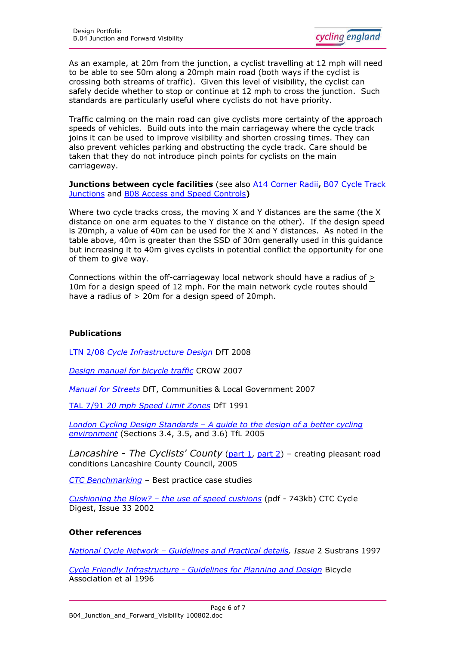As an example, at 20m from the junction, a cyclist travelling at 12 mph will need to be able to see 50m along a 20mph main road (both ways if the cyclist is crossing both streams of traffic). Given this level of visibility, the cyclist can safely decide whether to stop or continue at 12 mph to cross the junction. Such standards are particularly useful where cyclists do not have priority.

Traffic calming on the main road can give cyclists more certainty of the approach speeds of vehicles. Build outs into the main carriageway where the cycle track joins it can be used to improve visibility and shorten crossing times. They can also prevent vehicles parking and obstructing the cycle track. Care should be taken that they do not introduce pinch points for cyclists on the main carriageway.

**Junctions between cycle facilities** (see also [A14 Corner Radii](http://www.cyclingengland.co.uk/docs/A14_Corner_Radii.pdf)**,** [B07 Cycle Track](http://www.cyclingengland.co.uk/docs/B07_Cycle_Track_Junctions.pdf) [Junctions](http://www.cyclingengland.co.uk/docs/B07_Cycle_Track_Junctions.pdf) and [B08 Access and Speed Controls](http://www.cyclingengland.co.uk/docs/B08_Access_and_Speed_Controls.pdf)**)**

Where two cycle tracks cross, the moving X and Y distances are the same (the X distance on one arm equates to the Y distance on the other). If the design speed is 20mph, a value of 40m can be used for the X and Y distances. As noted in the table above, 40m is greater than the SSD of 30m generally used in this guidance but increasing it to 40m gives cyclists in potential conflict the opportunity for one of them to give way.

Connections within the off-carriageway local network should have a radius of > 10m for a design speed of 12 mph. For the main network cycle routes should have a radius of  $\geq$  20m for a design speed of 20mph.

# **Publications**

LTN 2/08 *[Cycle Infrastructure Design](http://www.dft.gov.uk/pgr/roads/tpm/ltnotes/ltn208.pdf)* DfT 2008

*[Design manual for bicycle traffic](http://www.crow.nl/nl/Publicaties/publicatiedetail?code=REC25)* CROW 2007

*[Manual for Streets](http://www.dft.gov.uk/pgr/sustainable/manforstreets/)* DfT, Communities & Local Government 2007

TAL 7/91 *[20 mph Speed Limit Zones](http://www.dft.gov.uk/adobepdf/165240/244921/244924/TAL_7-91)* DfT 1991

*London Cycling Design Standards – [A guide to the design of a better cycling](http://www.tfl.gov.uk/businessandpartners/publications/2766.aspx) [environment](http://www.tfl.gov.uk/businessandpartners/publications/2766.aspx)* (Sections 3.4, 3.5, and 3.6) TfL 2005

*Lancashire - The Cyclists' County* ([part 1,](http://www.lancashire.gov.uk/corporate/web/viewdoc.asp?id=47083) [part 2\)](http://www.lancashire.gov.uk/corporate/web/viewdoc.asp?id=47084) – creating pleasant road conditions Lancashire County Council, 2005

*[CTC Benchmarking](http://www.ctc.org.uk/benchmarking) –* [Best practice case studies](http://www.ctc.org.uk/DesktopDefault.aspx?TabID=4384)

*Cushioning the Blow? – [the use of speed cushions](http://www.ctc.org.uk/resources/Campaigns/CycleDigest33.pdf#search=%22site%3Awww.ctc.org.uk%20speed%20cushions%22)* (pdf - 743kb) CTC Cycle Digest, Issue 33 2002

# **Other references**

*National Cycle Network – [Guidelines and Practical details,](http://www.sustrans.org.uk/resources/design-and-construction/technical-guidelines) Issue* 2 Sustrans 1997

*Cycle Friendly Infrastructure - [Guidelines for Planning and Design](http://www.ciht.org.uk/en/publications/technical-guidelines.cfm/cycle-friendly-infrastructure-1996)* Bicycle Association et al 1996